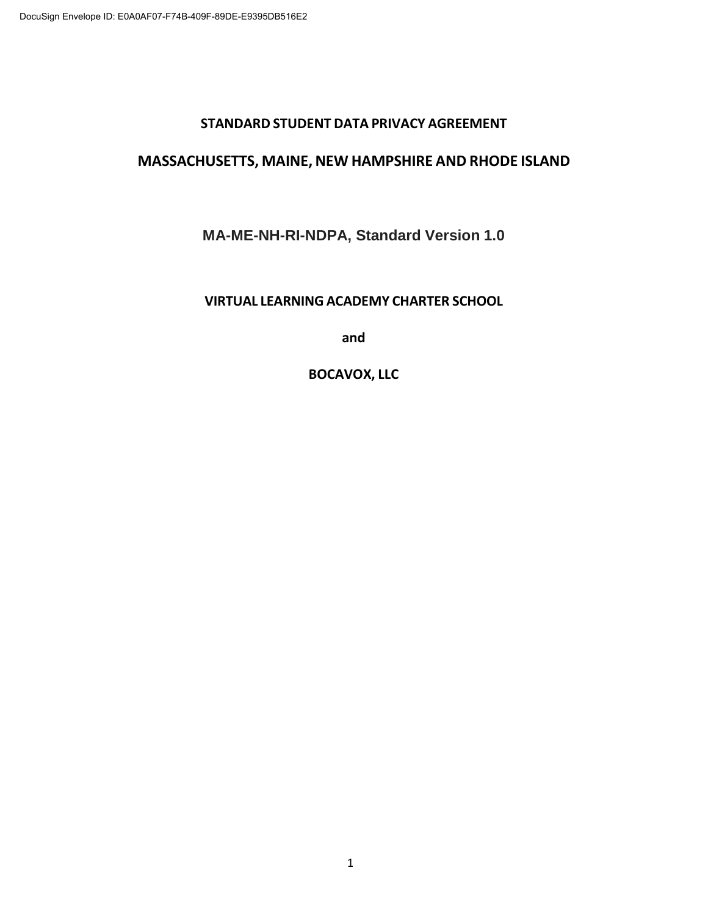#### **STANDARD STUDENT DATA PRIVACY AGREEMENT**

#### **MASSACHUSETTS, MAINE, NEW HAMPSHIRE AND RHODE ISLAND**

#### **MA-ME-NH-RI-NDPA, Standard Version 1.0**

#### **VIRTUAL LEARNING ACADEMY CHARTER SCHOOL**

**and**

#### **BOCAVOX, LLC**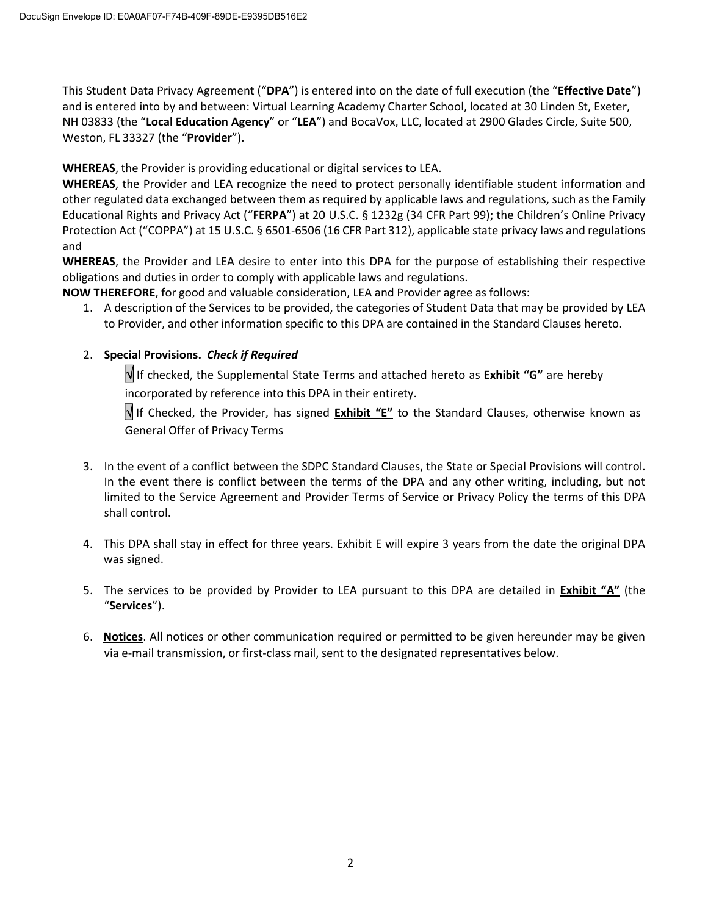This Student Data Privacy Agreement ("**DPA**") is entered into on the date of full execution (the "**Effective Date**") and is entered into by and between: Virtual Learning Academy Charter School, located at 30 Linden St, Exeter, NH 03833 (the "**Local Education Agency**" or "**LEA**") and BocaVox, LLC, located at 2900 Glades Circle, Suite 500, Weston, FL 33327 (the "**Provider**").

**WHEREAS**, the Provider is providing educational or digital services to LEA.

**WHEREAS**, the Provider and LEA recognize the need to protect personally identifiable student information and other regulated data exchanged between them as required by applicable laws and regulations, such as the Family Educational Rights and Privacy Act ("**FERPA**") at 20 U.S.C. § 1232g (34 CFR Part 99); the Children's Online Privacy Protection Act ("COPPA") at 15 U.S.C. § 6501-6506 (16 CFR Part 312), applicable state privacy laws and regulations and

**WHEREAS**, the Provider and LEA desire to enter into this DPA for the purpose of establishing their respective obligations and duties in order to comply with applicable laws and regulations.

**NOW THEREFORE**, for good and valuable consideration, LEA and Provider agree as follows:

1. A description of the Services to be provided, the categories of Student Data that may be provided by LEA to Provider, and other information specific to this DPA are contained in the Standard Clauses hereto.

#### 2. **Special Provisions.** *Check if Required*

 If checked, the Supplemental State Terms and attached hereto as **Exhibit "G"** are hereby incorporated by reference into this DPA in their entirety.

 If Checked, the Provider, has signed **Exhibit "E"** to the Standard Clauses, otherwise known as General Offer of Privacy Terms

- 3. In the event of a conflict between the SDPC Standard Clauses, the State or Special Provisions will control. In the event there is conflict between the terms of the DPA and any other writing, including, but not limited to the Service Agreement and Provider Terms of Service or Privacy Policy the terms of this DPA shall control.
- 4. This DPA shall stay in effect for three years. Exhibit E will expire 3 years from the date the original DPA was signed.
- 5. The services to be provided by Provider to LEA pursuant to this DPA are detailed in **Exhibit "A"** (the "**Services**").
- 6. **Notices**. All notices or other communication required or permitted to be given hereunder may be given via e-mail transmission, or first-class mail, sent to the designated representatives below.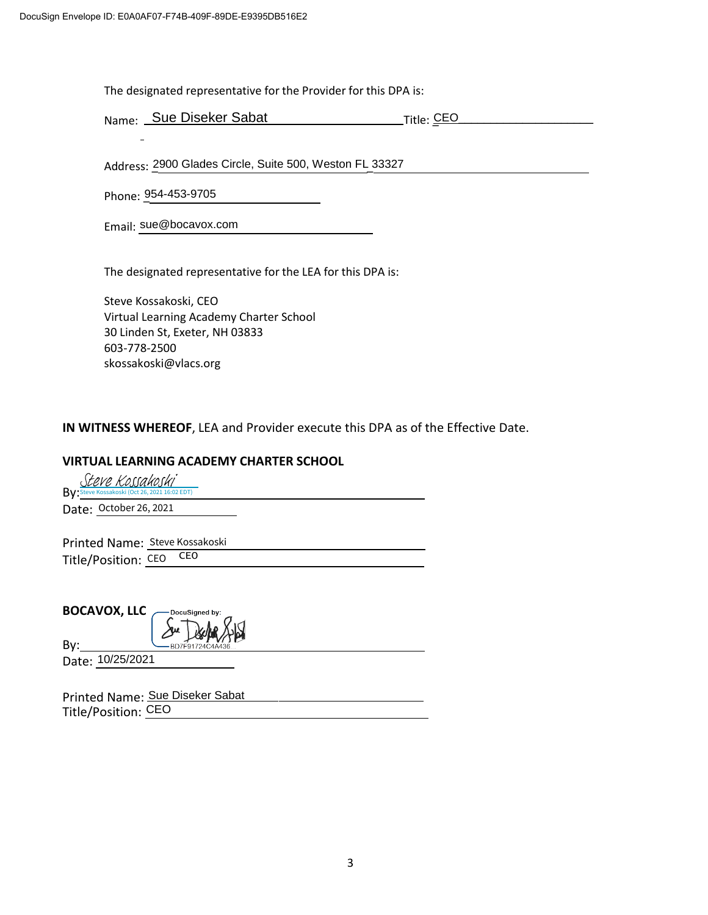The designated representative for the Provider for this DPA is:

Name: Sue Diseker Sabat Title: CEO\_

Address: 2900 Glades Circle, Suite 500, Weston FL 33327

Phone: \_954-453-9705

Email: sue@bocavox.com

The designated representative for the LEA for this DPA is:

Steve Kossakoski, CEO Virtual Learning Academy Charter School 30 Linden St, Exeter, NH 03833 603-778-2500 skossakoski@vlacs.org

**IN WITNESS WHEREOF**, LEA and Provider execute this DPA as of the Effective Date.

#### **VIRTUAL LEARNING ACADEMY CHARTER SCHOOL**

Steve Kossakoski (Oct 26, 2021 16:02 EDT) Date: October 26, 2021

Date: <u>October 26, 2021</u><br>Printed Name: <u>Steve Kossakoski</u> Title/Position: <u>CEO</u> CEO

**BOCAVOX, LLC** DocuSigned b

By: Date: 10/25/2021

Printed Name: Sue Diseker Sabat Title/Position: CEO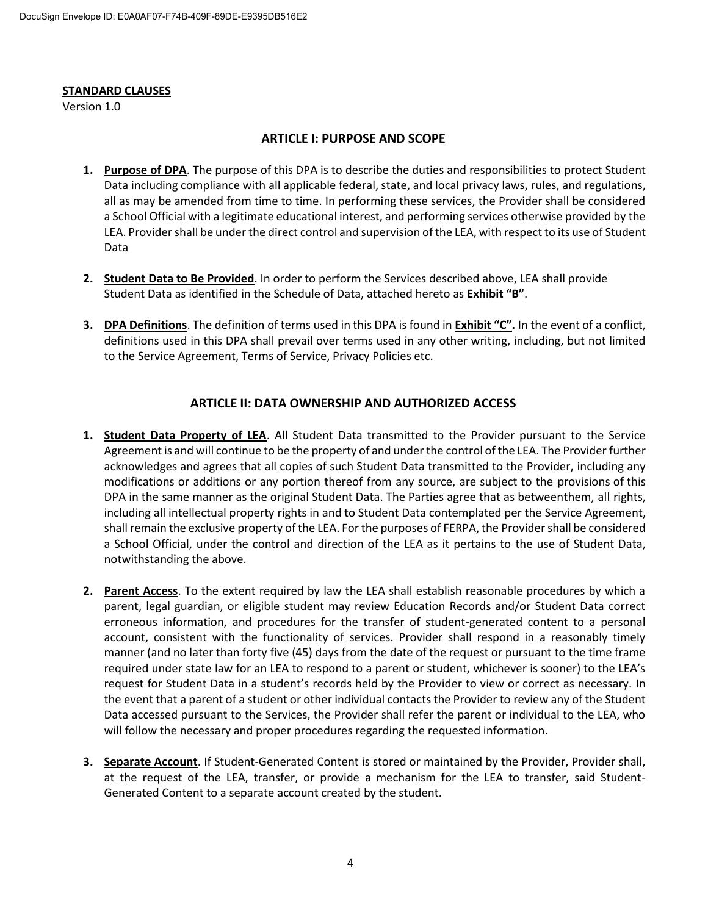#### **STANDARD CLAUSES**

Version 1.0

#### **ARTICLE I: PURPOSE AND SCOPE**

- **1. Purpose of DPA**. The purpose of this DPA is to describe the duties and responsibilities to protect Student Data including compliance with all applicable federal, state, and local privacy laws, rules, and regulations, all as may be amended from time to time. In performing these services, the Provider shall be considered a School Official with a legitimate educational interest, and performing services otherwise provided by the LEA. Provider shall be under the direct control and supervision of the LEA, with respect to its use of Student Data
- **2. Student Data to Be Provided**. In order to perform the Services described above, LEA shall provide Student Data as identified in the Schedule of Data, attached hereto as **Exhibit "B"**.
- **3. DPA Definitions**. The definition of terms used in this DPA is found in **Exhibit "C".** In the event of a conflict, definitions used in this DPA shall prevail over terms used in any other writing, including, but not limited to the Service Agreement, Terms of Service, Privacy Policies etc.

#### **ARTICLE II: DATA OWNERSHIP AND AUTHORIZED ACCESS**

- **1. Student Data Property of LEA**. All Student Data transmitted to the Provider pursuant to the Service Agreement is and will continue to be the property of and under the control of the LEA. The Provider further acknowledges and agrees that all copies of such Student Data transmitted to the Provider, including any modifications or additions or any portion thereof from any source, are subject to the provisions of this DPA in the same manner as the original Student Data. The Parties agree that as betweenthem, all rights, including all intellectual property rights in and to Student Data contemplated per the Service Agreement, shall remain the exclusive property of the LEA. For the purposes of FERPA, the Provider shall be considered a School Official, under the control and direction of the LEA as it pertains to the use of Student Data, notwithstanding the above.
- **2. Parent Access**. To the extent required by law the LEA shall establish reasonable procedures by which a parent, legal guardian, or eligible student may review Education Records and/or Student Data correct erroneous information, and procedures for the transfer of student-generated content to a personal account, consistent with the functionality of services. Provider shall respond in a reasonably timely manner (and no later than forty five (45) days from the date of the request or pursuant to the time frame required under state law for an LEA to respond to a parent or student, whichever is sooner) to the LEA's request for Student Data in a student's records held by the Provider to view or correct as necessary. In the event that a parent of a student or other individual contacts the Provider to review any of the Student Data accessed pursuant to the Services, the Provider shall refer the parent or individual to the LEA, who will follow the necessary and proper procedures regarding the requested information.
- **3. Separate Account**. If Student-Generated Content is stored or maintained by the Provider, Provider shall, at the request of the LEA, transfer, or provide a mechanism for the LEA to transfer, said Student-Generated Content to a separate account created by the student.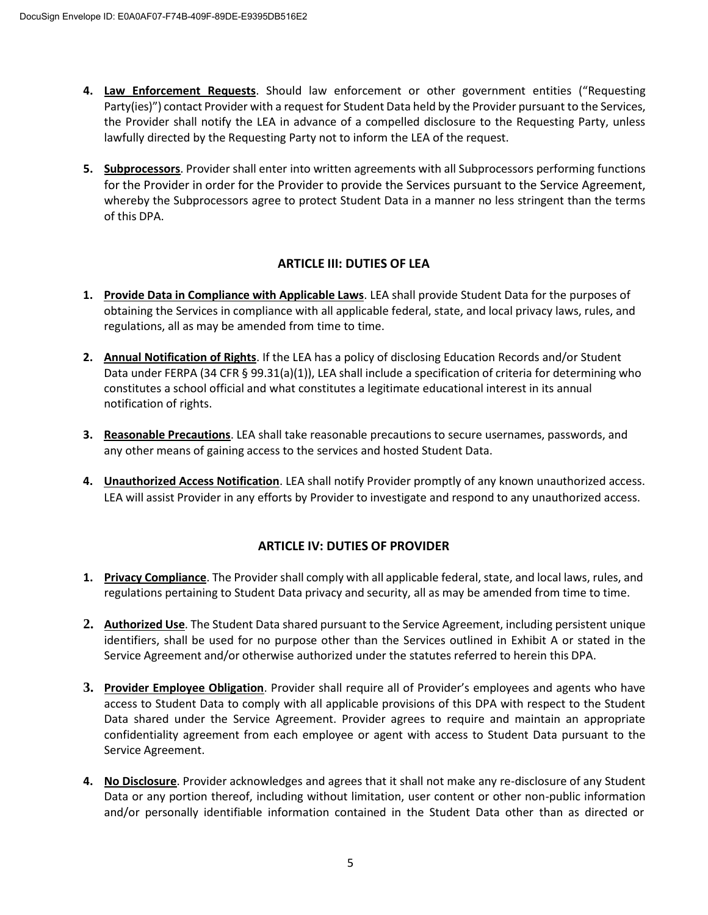- **4. Law Enforcement Requests**. Should law enforcement or other government entities ("Requesting Party(ies)") contact Provider with a request for Student Data held by the Provider pursuant to the Services, the Provider shall notify the LEA in advance of a compelled disclosure to the Requesting Party, unless lawfully directed by the Requesting Party not to inform the LEA of the request.
- **5. Subprocessors**. Provider shall enter into written agreements with all Subprocessors performing functions for the Provider in order for the Provider to provide the Services pursuant to the Service Agreement, whereby the Subprocessors agree to protect Student Data in a manner no less stringent than the terms of this DPA.

#### **ARTICLE III: DUTIES OF LEA**

- **1. Provide Data in Compliance with Applicable Laws**. LEA shall provide Student Data for the purposes of obtaining the Services in compliance with all applicable federal, state, and local privacy laws, rules, and regulations, all as may be amended from time to time.
- **2. Annual Notification of Rights**. If the LEA has a policy of disclosing Education Records and/or Student Data under FERPA (34 CFR § 99.31(a)(1)), LEA shall include a specification of criteria for determining who constitutes a school official and what constitutes a legitimate educational interest in its annual notification of rights.
- **3. Reasonable Precautions**. LEA shall take reasonable precautions to secure usernames, passwords, and any other means of gaining access to the services and hosted Student Data.
- **4. Unauthorized Access Notification**. LEA shall notify Provider promptly of any known unauthorized access. LEA will assist Provider in any efforts by Provider to investigate and respond to any unauthorized access.

#### **ARTICLE IV: DUTIES OF PROVIDER**

- **1. Privacy Compliance**. The Provider shall comply with all applicable federal, state, and local laws, rules, and regulations pertaining to Student Data privacy and security, all as may be amended from time to time.
- **2. Authorized Use**. The Student Data shared pursuant to the Service Agreement, including persistent unique identifiers, shall be used for no purpose other than the Services outlined in Exhibit A or stated in the Service Agreement and/or otherwise authorized under the statutes referred to herein this DPA.
- **3. Provider Employee Obligation**. Provider shall require all of Provider's employees and agents who have access to Student Data to comply with all applicable provisions of this DPA with respect to the Student Data shared under the Service Agreement. Provider agrees to require and maintain an appropriate confidentiality agreement from each employee or agent with access to Student Data pursuant to the Service Agreement.
- **4. No Disclosure**. Provider acknowledges and agrees that it shall not make any re-disclosure of any Student Data or any portion thereof, including without limitation, user content or other non-public information and/or personally identifiable information contained in the Student Data other than as directed or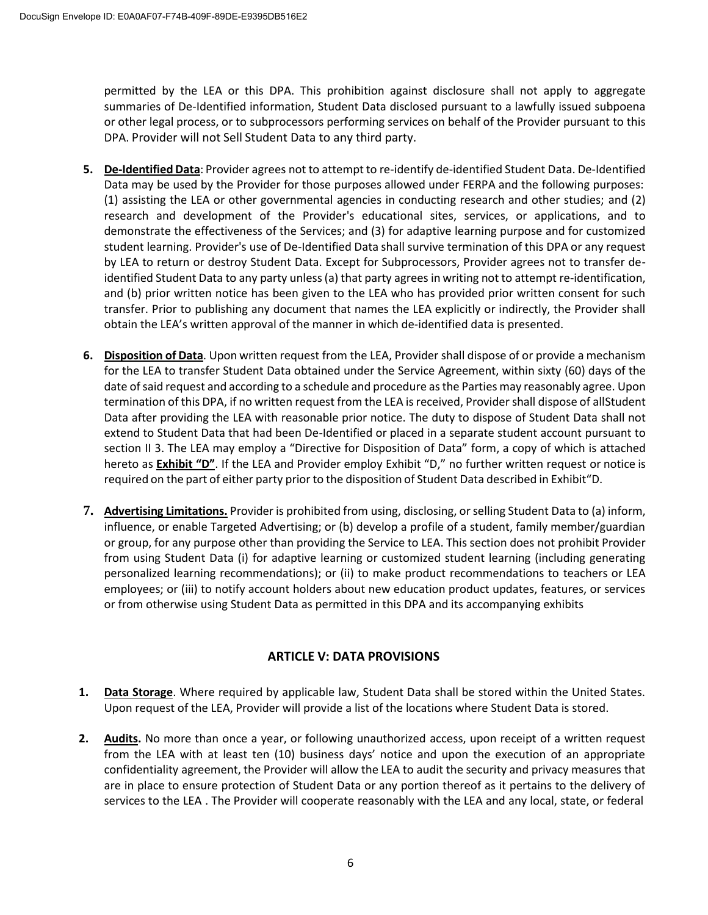permitted by the LEA or this DPA. This prohibition against disclosure shall not apply to aggregate summaries of De-Identified information, Student Data disclosed pursuant to a lawfully issued subpoena or other legal process, or to subprocessors performing services on behalf of the Provider pursuant to this DPA. Provider will not Sell Student Data to any third party.

- **5. De-Identified Data**: Provider agrees not to attempt to re-identify de-identified Student Data. De-Identified Data may be used by the Provider for those purposes allowed under FERPA and the following purposes: (1) assisting the LEA or other governmental agencies in conducting research and other studies; and (2) research and development of the Provider's educational sites, services, or applications, and to demonstrate the effectiveness of the Services; and (3) for adaptive learning purpose and for customized student learning. Provider's use of De-Identified Data shall survive termination of this DPA or any request by LEA to return or destroy Student Data. Except for Subprocessors, Provider agrees not to transfer deidentified Student Data to any party unless(a) that party agrees in writing not to attempt re-identification, and (b) prior written notice has been given to the LEA who has provided prior written consent for such transfer. Prior to publishing any document that names the LEA explicitly or indirectly, the Provider shall obtain the LEA's written approval of the manner in which de-identified data is presented.
- **6. Disposition of Data**. Upon written request from the LEA, Provider shall dispose of or provide a mechanism for the LEA to transfer Student Data obtained under the Service Agreement, within sixty (60) days of the date of said request and according to a schedule and procedure as the Parties may reasonably agree. Upon termination of this DPA, if no written request from the LEA is received, Provider shall dispose of allStudent Data after providing the LEA with reasonable prior notice. The duty to dispose of Student Data shall not extend to Student Data that had been De-Identified or placed in a separate student account pursuant to section II 3. The LEA may employ a "Directive for Disposition of Data" form, a copy of which is attached hereto as **Exhibit "D"**. If the LEA and Provider employ Exhibit "D," no further written request or notice is required on the part of either party prior to the disposition of Student Data described in Exhibit"D.
- **7. Advertising Limitations.** Provider is prohibited from using, disclosing, orselling Student Data to (a) inform, influence, or enable Targeted Advertising; or (b) develop a profile of a student, family member/guardian or group, for any purpose other than providing the Service to LEA. This section does not prohibit Provider from using Student Data (i) for adaptive learning or customized student learning (including generating personalized learning recommendations); or (ii) to make product recommendations to teachers or LEA employees; or (iii) to notify account holders about new education product updates, features, or services or from otherwise using Student Data as permitted in this DPA and its accompanying exhibits

#### **ARTICLE V: DATA PROVISIONS**

- **1. Data Storage**. Where required by applicable law, Student Data shall be stored within the United States. Upon request of the LEA, Provider will provide a list of the locations where Student Data is stored.
- **2. Audits.** No more than once a year, or following unauthorized access, upon receipt of a written request from the LEA with at least ten (10) business days' notice and upon the execution of an appropriate confidentiality agreement, the Provider will allow the LEA to audit the security and privacy measures that are in place to ensure protection of Student Data or any portion thereof as it pertains to the delivery of services to the LEA . The Provider will cooperate reasonably with the LEA and any local, state, or federal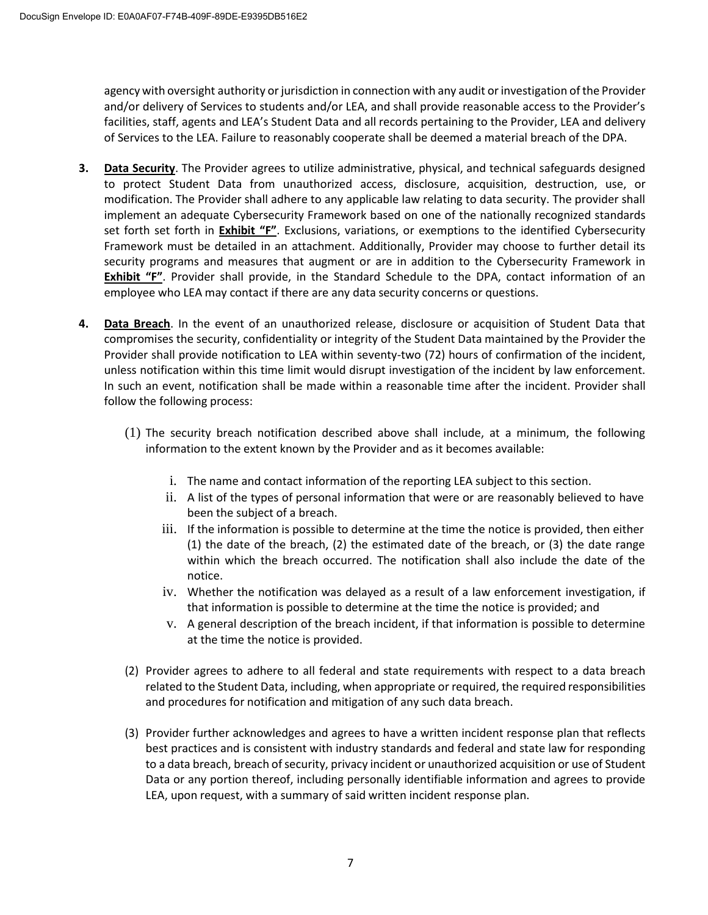agency with oversight authority or jurisdiction in connection with any audit or investigation of the Provider and/or delivery of Services to students and/or LEA, and shall provide reasonable access to the Provider's facilities, staff, agents and LEA's Student Data and all records pertaining to the Provider, LEA and delivery of Services to the LEA. Failure to reasonably cooperate shall be deemed a material breach of the DPA.

- **3. Data Security**. The Provider agrees to utilize administrative, physical, and technical safeguards designed to protect Student Data from unauthorized access, disclosure, acquisition, destruction, use, or modification. The Provider shall adhere to any applicable law relating to data security. The provider shall implement an adequate Cybersecurity Framework based on one of the nationally recognized standards set forth set forth in **Exhibit "F"**. Exclusions, variations, or exemptions to the identified Cybersecurity Framework must be detailed in an attachment. Additionally, Provider may choose to further detail its security programs and measures that augment or are in addition to the Cybersecurity Framework in **Exhibit "F"**. Provider shall provide, in the Standard Schedule to the DPA, contact information of an employee who LEA may contact if there are any data security concerns or questions.
- **4. Data Breach**. In the event of an unauthorized release, disclosure or acquisition of Student Data that compromises the security, confidentiality or integrity of the Student Data maintained by the Provider the Provider shall provide notification to LEA within seventy-two (72) hours of confirmation of the incident, unless notification within this time limit would disrupt investigation of the incident by law enforcement. In such an event, notification shall be made within a reasonable time after the incident. Provider shall follow the following process:
	- (1) The security breach notification described above shall include, at a minimum, the following information to the extent known by the Provider and as it becomes available:
		- i. The name and contact information of the reporting LEA subject to this section.
		- ii. A list of the types of personal information that were or are reasonably believed to have been the subject of a breach.
		- iii. If the information is possible to determine at the time the notice is provided, then either (1) the date of the breach, (2) the estimated date of the breach, or (3) the date range within which the breach occurred. The notification shall also include the date of the notice.
		- iv. Whether the notification was delayed as a result of a law enforcement investigation, if that information is possible to determine at the time the notice is provided; and
		- v. A general description of the breach incident, if that information is possible to determine at the time the notice is provided.
	- (2) Provider agrees to adhere to all federal and state requirements with respect to a data breach related to the Student Data, including, when appropriate or required, the required responsibilities and procedures for notification and mitigation of any such data breach.
	- (3) Provider further acknowledges and agrees to have a written incident response plan that reflects best practices and is consistent with industry standards and federal and state law for responding to a data breach, breach of security, privacy incident or unauthorized acquisition or use of Student Data or any portion thereof, including personally identifiable information and agrees to provide LEA, upon request, with a summary of said written incident response plan.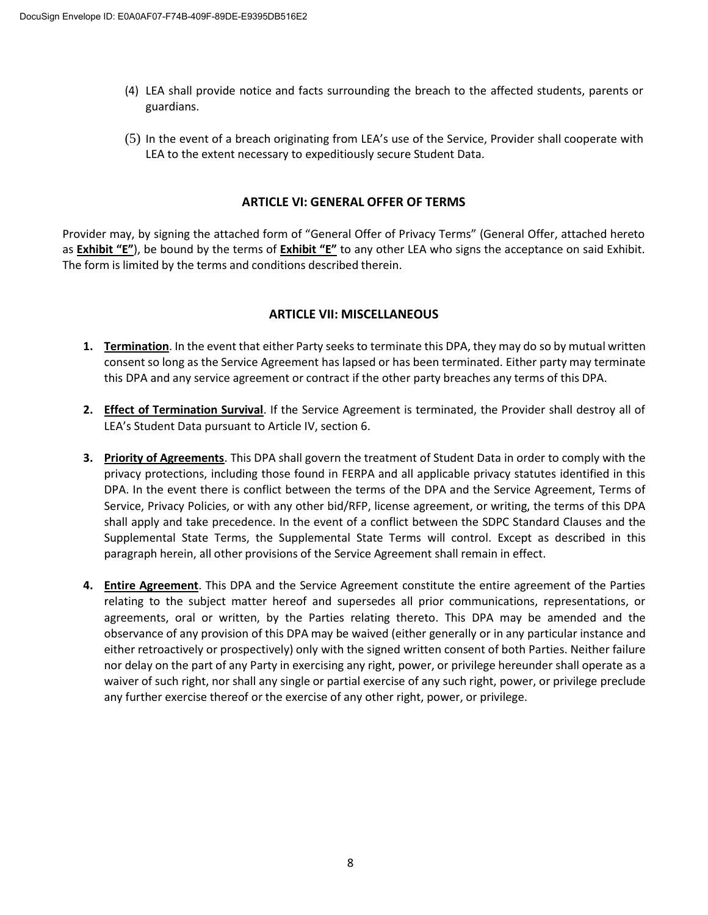- (4) LEA shall provide notice and facts surrounding the breach to the affected students, parents or guardians.
- (5) In the event of a breach originating from LEA's use of the Service, Provider shall cooperate with LEA to the extent necessary to expeditiously secure Student Data.

#### **ARTICLE VI: GENERAL OFFER OF TERMS**

Provider may, by signing the attached form of "General Offer of Privacy Terms" (General Offer, attached hereto as **Exhibit "E"**), be bound by the terms of **Exhibit "E"** to any other LEA who signs the acceptance on said Exhibit. The form is limited by the terms and conditions described therein.

#### **ARTICLE VII: MISCELLANEOUS**

- **1. Termination**. In the event that either Party seeks to terminate this DPA, they may do so by mutual written consent so long as the Service Agreement has lapsed or has been terminated. Either party may terminate this DPA and any service agreement or contract if the other party breaches any terms of this DPA.
- **2. Effect of Termination Survival**. If the Service Agreement is terminated, the Provider shall destroy all of LEA's Student Data pursuant to Article IV, section 6.
- **3. Priority of Agreements**. This DPA shall govern the treatment of Student Data in order to comply with the privacy protections, including those found in FERPA and all applicable privacy statutes identified in this DPA. In the event there is conflict between the terms of the DPA and the Service Agreement, Terms of Service, Privacy Policies, or with any other bid/RFP, license agreement, or writing, the terms of this DPA shall apply and take precedence. In the event of a conflict between the SDPC Standard Clauses and the Supplemental State Terms, the Supplemental State Terms will control. Except as described in this paragraph herein, all other provisions of the Service Agreement shall remain in effect.
- **4. Entire Agreement**. This DPA and the Service Agreement constitute the entire agreement of the Parties relating to the subject matter hereof and supersedes all prior communications, representations, or agreements, oral or written, by the Parties relating thereto. This DPA may be amended and the observance of any provision of this DPA may be waived (either generally or in any particular instance and either retroactively or prospectively) only with the signed written consent of both Parties. Neither failure nor delay on the part of any Party in exercising any right, power, or privilege hereunder shall operate as a waiver of such right, nor shall any single or partial exercise of any such right, power, or privilege preclude any further exercise thereof or the exercise of any other right, power, or privilege.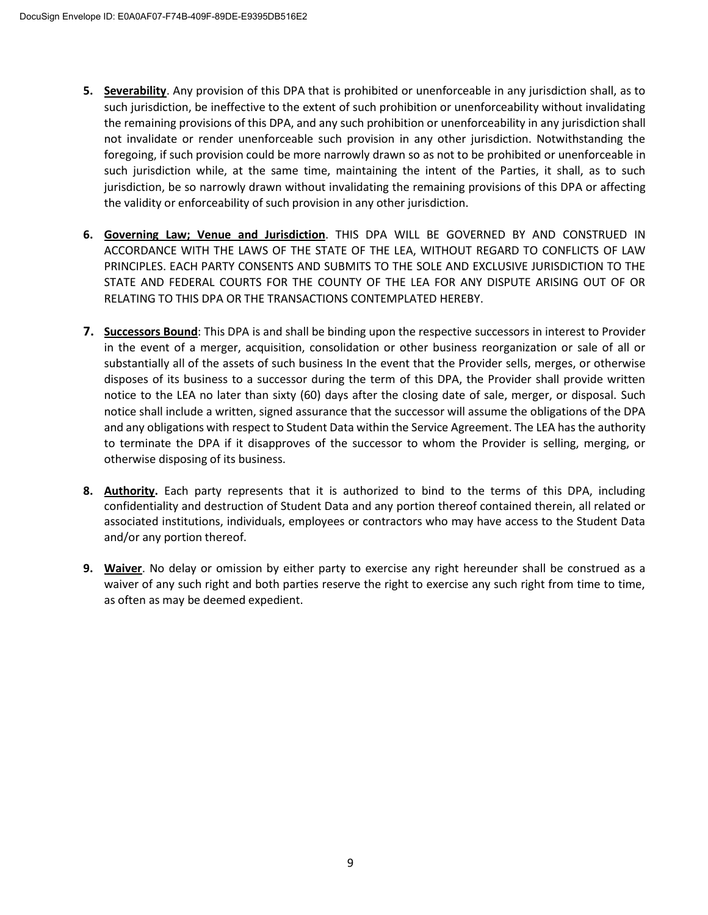- **5. Severability**. Any provision of this DPA that is prohibited or unenforceable in any jurisdiction shall, as to such jurisdiction, be ineffective to the extent of such prohibition or unenforceability without invalidating the remaining provisions of this DPA, and any such prohibition or unenforceability in any jurisdiction shall not invalidate or render unenforceable such provision in any other jurisdiction. Notwithstanding the foregoing, if such provision could be more narrowly drawn so as not to be prohibited or unenforceable in such jurisdiction while, at the same time, maintaining the intent of the Parties, it shall, as to such jurisdiction, be so narrowly drawn without invalidating the remaining provisions of this DPA or affecting the validity or enforceability of such provision in any other jurisdiction.
- **6. Governing Law; Venue and Jurisdiction**. THIS DPA WILL BE GOVERNED BY AND CONSTRUED IN ACCORDANCE WITH THE LAWS OF THE STATE OF THE LEA, WITHOUT REGARD TO CONFLICTS OF LAW PRINCIPLES. EACH PARTY CONSENTS AND SUBMITS TO THE SOLE AND EXCLUSIVE JURISDICTION TO THE STATE AND FEDERAL COURTS FOR THE COUNTY OF THE LEA FOR ANY DISPUTE ARISING OUT OF OR RELATING TO THIS DPA OR THE TRANSACTIONS CONTEMPLATED HEREBY.
- **7. Successors Bound**: This DPA is and shall be binding upon the respective successors in interest to Provider in the event of a merger, acquisition, consolidation or other business reorganization or sale of all or substantially all of the assets of such business In the event that the Provider sells, merges, or otherwise disposes of its business to a successor during the term of this DPA, the Provider shall provide written notice to the LEA no later than sixty (60) days after the closing date of sale, merger, or disposal. Such notice shall include a written, signed assurance that the successor will assume the obligations of the DPA and any obligations with respect to Student Data within the Service Agreement. The LEA has the authority to terminate the DPA if it disapproves of the successor to whom the Provider is selling, merging, or otherwise disposing of its business.
- **8. Authority.** Each party represents that it is authorized to bind to the terms of this DPA, including confidentiality and destruction of Student Data and any portion thereof contained therein, all related or associated institutions, individuals, employees or contractors who may have access to the Student Data and/or any portion thereof.
- **9. Waiver**. No delay or omission by either party to exercise any right hereunder shall be construed as a waiver of any such right and both parties reserve the right to exercise any such right from time to time, as often as may be deemed expedient.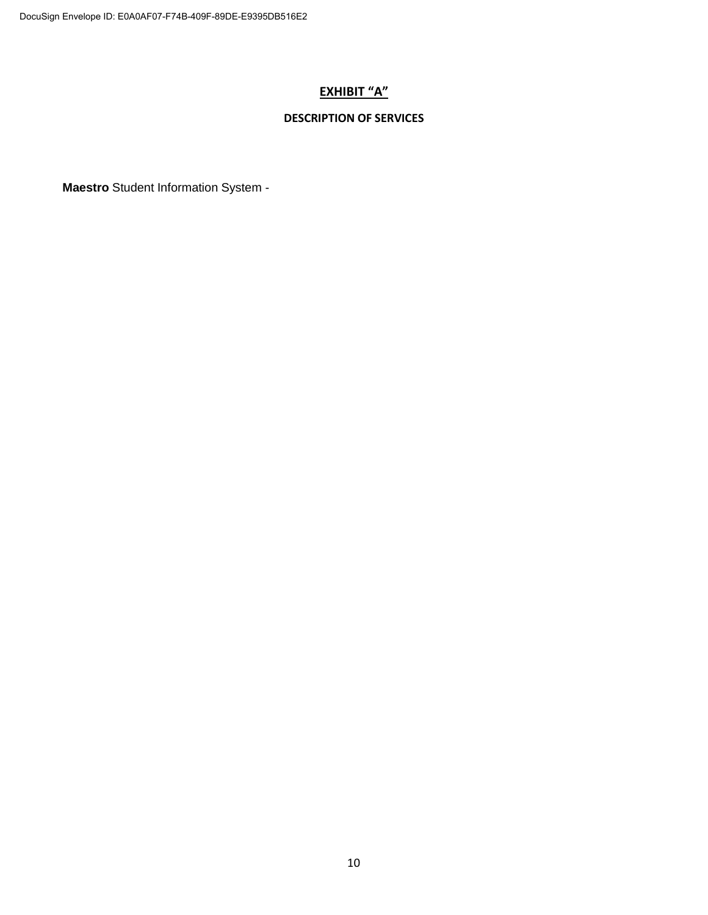#### **EXHIBIT "A"**

#### **DESCRIPTION OF SERVICES**

**Maestro** Student Information System -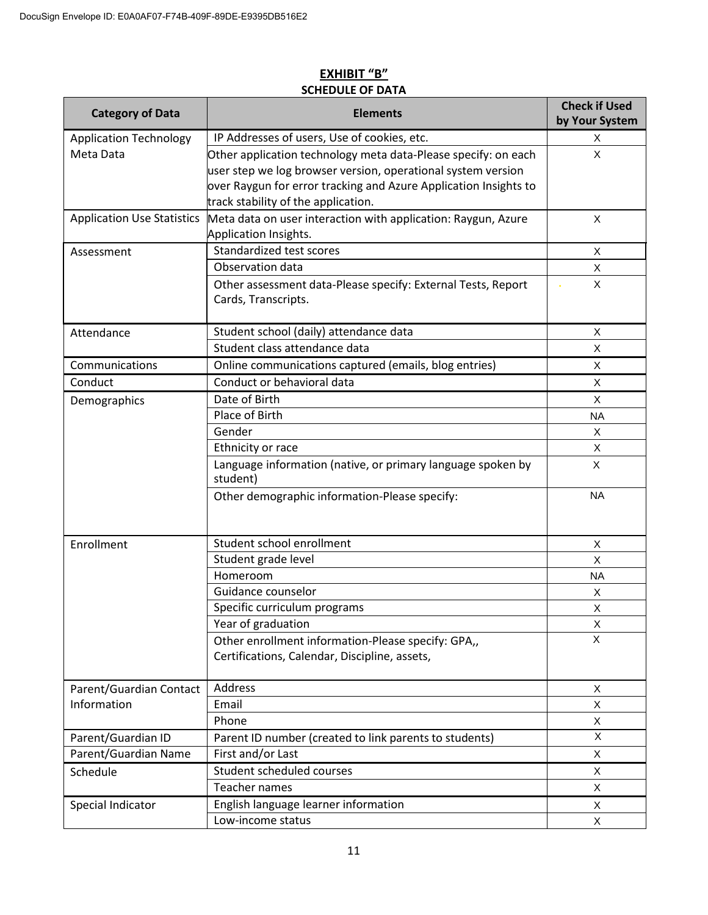| <b>Category of Data</b>           | <b>Elements</b>                                                                     | <b>Check if Used</b><br>by Your System |
|-----------------------------------|-------------------------------------------------------------------------------------|----------------------------------------|
| <b>Application Technology</b>     | IP Addresses of users, Use of cookies, etc.                                         | Χ                                      |
| Meta Data                         | Other application technology meta data-Please specify: on each                      | X                                      |
|                                   | user step we log browser version, operational system version                        |                                        |
|                                   | over Raygun for error tracking and Azure Application Insights to                    |                                        |
|                                   | track stability of the application.                                                 |                                        |
| <b>Application Use Statistics</b> | Meta data on user interaction with application: Raygun, Azure                       | X                                      |
|                                   | Application Insights.                                                               |                                        |
| Assessment                        | Standardized test scores                                                            | X                                      |
|                                   | Observation data                                                                    | X                                      |
|                                   | Other assessment data-Please specify: External Tests, Report<br>Cards, Transcripts. | X                                      |
| Attendance                        | Student school (daily) attendance data                                              | X                                      |
|                                   | Student class attendance data                                                       | $\pmb{\times}$                         |
| Communications                    | Online communications captured (emails, blog entries)                               | X                                      |
| Conduct                           | Conduct or behavioral data                                                          | X                                      |
| Demographics                      | Date of Birth                                                                       | X                                      |
|                                   | Place of Birth                                                                      | <b>NA</b>                              |
|                                   | Gender                                                                              | X                                      |
|                                   | Ethnicity or race                                                                   | X                                      |
|                                   | Language information (native, or primary language spoken by<br>student)             | X                                      |
|                                   | Other demographic information-Please specify:                                       | <b>NA</b>                              |
| Enrollment                        | Student school enrollment                                                           | X                                      |
|                                   | Student grade level                                                                 | X                                      |
|                                   | Homeroom                                                                            | <b>NA</b>                              |
|                                   | Guidance counselor                                                                  | X                                      |
|                                   | Specific curriculum programs                                                        | X                                      |
|                                   | Year of graduation                                                                  | X                                      |
|                                   | Other enrollment information-Please specify: GPA,,                                  | X                                      |
|                                   | Certifications, Calendar, Discipline, assets,                                       |                                        |
| Parent/Guardian Contact           | Address                                                                             | Χ                                      |
| Information                       | Email                                                                               | X                                      |
|                                   | Phone                                                                               | X                                      |
| Parent/Guardian ID                | Parent ID number (created to link parents to students)                              | X                                      |
| Parent/Guardian Name              | First and/or Last                                                                   | X                                      |
| Schedule                          | Student scheduled courses                                                           | X                                      |
|                                   | Teacher names                                                                       | X                                      |
| Special Indicator                 | English language learner information                                                | X                                      |
|                                   | Low-income status                                                                   | X                                      |

#### **EXHIBIT "B" SCHEDULE OF DATA**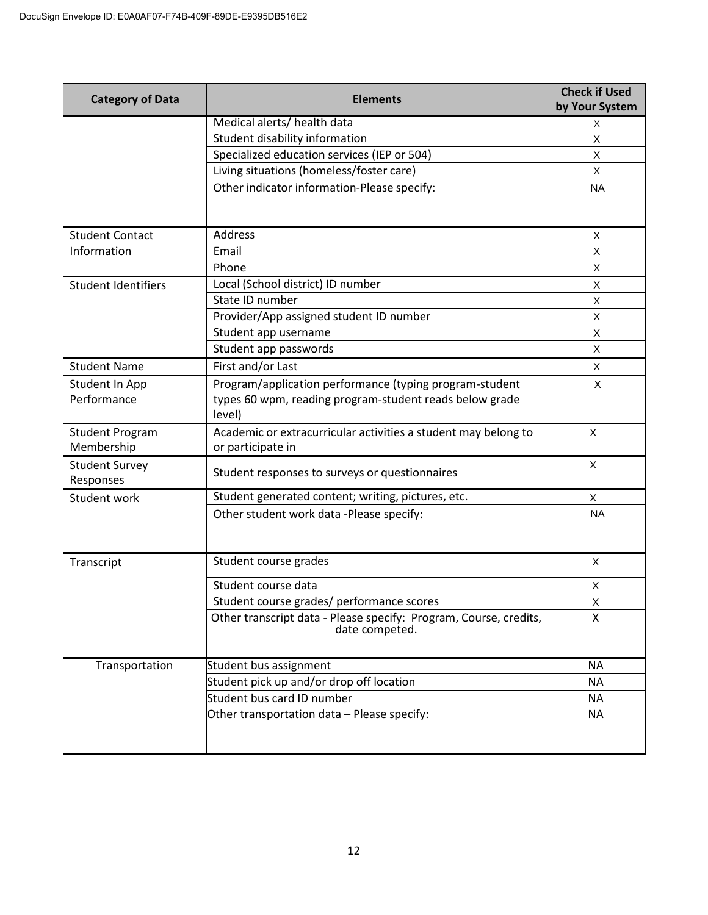| <b>Category of Data</b>              | <b>Elements</b>                                                                     | <b>Check if Used</b><br>by Your System |
|--------------------------------------|-------------------------------------------------------------------------------------|----------------------------------------|
|                                      | Medical alerts/ health data                                                         | X                                      |
|                                      | Student disability information                                                      | X                                      |
|                                      | Specialized education services (IEP or 504)                                         | X                                      |
|                                      | Living situations (homeless/foster care)                                            | X                                      |
|                                      | Other indicator information-Please specify:                                         | <b>NA</b>                              |
|                                      |                                                                                     |                                        |
| <b>Student Contact</b>               | <b>Address</b>                                                                      | X                                      |
| Information                          | Email                                                                               | X                                      |
|                                      | Phone                                                                               | X                                      |
| <b>Student Identifiers</b>           | Local (School district) ID number                                                   | X                                      |
|                                      | State ID number                                                                     | X                                      |
|                                      | Provider/App assigned student ID number                                             | X                                      |
|                                      | Student app username                                                                | X                                      |
|                                      | Student app passwords                                                               | X                                      |
| <b>Student Name</b>                  | First and/or Last                                                                   | X                                      |
| Student In App                       | Program/application performance (typing program-student                             | X                                      |
| Performance                          | types 60 wpm, reading program-student reads below grade<br>level)                   |                                        |
| <b>Student Program</b><br>Membership | Academic or extracurricular activities a student may belong to<br>or participate in | X                                      |
| <b>Student Survey</b><br>Responses   | Student responses to surveys or questionnaires                                      | X                                      |
| Student work                         | Student generated content; writing, pictures, etc.                                  | X                                      |
|                                      | Other student work data -Please specify:                                            | <b>NA</b>                              |
| Transcript                           | Student course grades                                                               | X                                      |
|                                      | Student course data                                                                 | X                                      |
|                                      | Student course grades/ performance scores                                           | X                                      |
|                                      | Other transcript data - Please specify: Program, Course, credits,<br>date competed. | X                                      |
| Transportation                       | Student bus assignment                                                              | <b>NA</b>                              |
|                                      | Student pick up and/or drop off location                                            | <b>NA</b>                              |
|                                      | Student bus card ID number                                                          | <b>NA</b>                              |
|                                      | Other transportation data - Please specify:                                         | <b>NA</b>                              |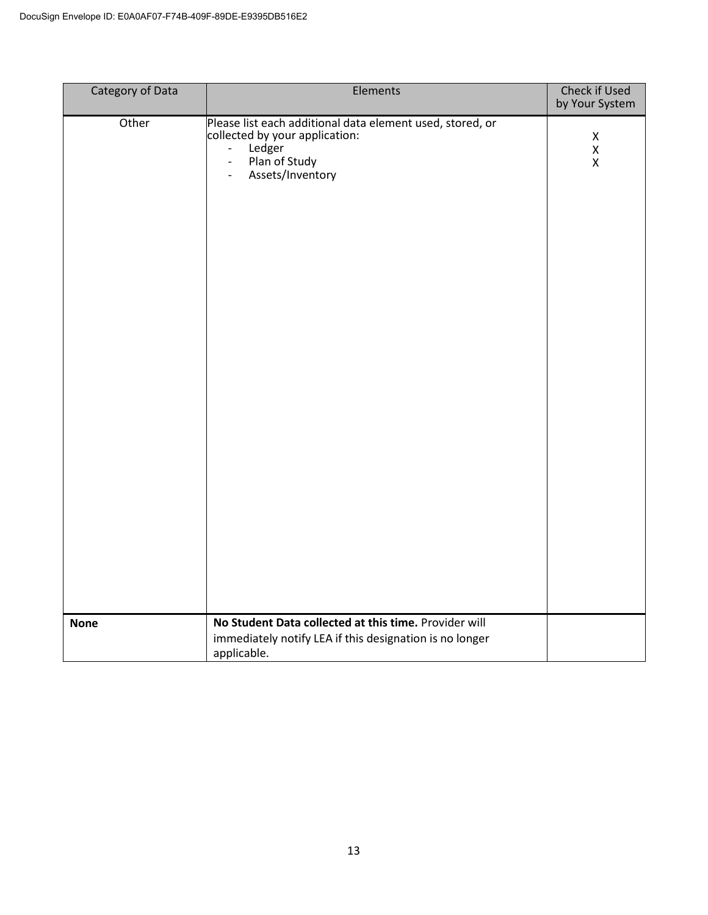| <b>Category of Data</b> | Elements                                                                                                                                                                                                  | <b>Check if Used</b><br>by Your System |
|-------------------------|-----------------------------------------------------------------------------------------------------------------------------------------------------------------------------------------------------------|----------------------------------------|
| Other                   | Please list each additional data element used, stored, or<br>collected by your application:<br>Ledger<br>$\overline{\phantom{a}}$<br>Plan of Study<br>$\frac{1}{2}$<br>Assets/Inventory<br>$\blacksquare$ | Χ<br>X<br>$\pmb{\mathsf{X}}$           |
| <b>None</b>             | No Student Data collected at this time. Provider will<br>immediately notify LEA if this designation is no longer<br>applicable.                                                                           |                                        |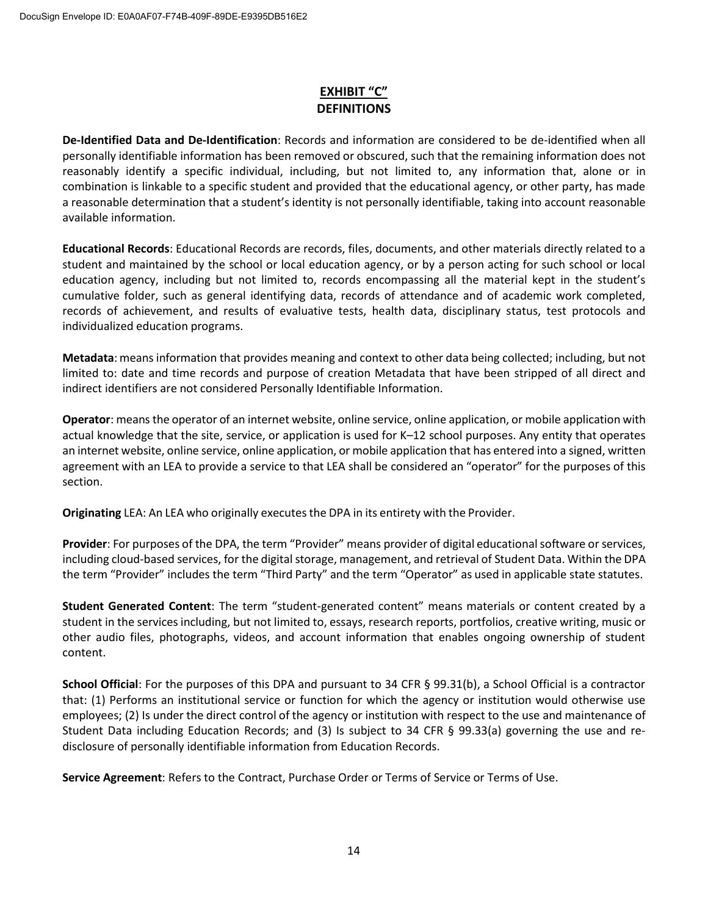#### **EXHIBIT "C" DEFINITIONS**

**De-Identified Data and De-Identification**: Records and information are considered to be de-identified when all personally identifiable information has been removed or obscured, such that the remaining information does not reasonably identify a specific individual, including, but not limited to, any information that, alone or in combination is linkable to a specific student and provided that the educational agency, or other party, has made a reasonable determination that a student's identity is not personally identifiable, taking into account reasonable available information.

**Educational Records**: Educational Records are records, files, documents, and other materials directly related to a student and maintained by the school or local education agency, or by a person acting for such school or local education agency, including but not limited to, records encompassing all the material kept in the student's cumulative folder, such as general identifying data, records of attendance and of academic work completed, records of achievement, and results of evaluative tests, health data, disciplinary status, test protocols and individualized education programs.

**Metadata**: means information that provides meaning and context to other data being collected; including, but not limited to: date and time records and purpose of creation Metadata that have been stripped of all direct and indirect identifiers are not considered Personally Identifiable Information.

**Operator**: meansthe operator of an internet website, online service, online application, or mobile application with actual knowledge that the site, service, or application is used for K–12 school purposes. Any entity that operates an internet website, online service, online application, or mobile application that has entered into a signed, written agreement with an LEA to provide a service to that LEA shall be considered an "operator" for the purposes of this section.

**Originating** LEA: An LEA who originally executesthe DPA in its entirety with the Provider.

**Provider**: For purposes of the DPA, the term "Provider" means provider of digital educational software or services, including cloud-based services, for the digital storage, management, and retrieval of Student Data. Within the DPA the term "Provider" includes the term "Third Party" and the term "Operator" as used in applicable state statutes.

**Student Generated Content**: The term "student-generated content" means materials or content created by a student in the services including, but not limited to, essays, research reports, portfolios, creative writing, music or other audio files, photographs, videos, and account information that enables ongoing ownership of student content.

**School Official**: For the purposes of this DPA and pursuant to 34 CFR § 99.31(b), a School Official is a contractor that: (1) Performs an institutional service or function for which the agency or institution would otherwise use employees; (2) Is under the direct control of the agency or institution with respect to the use and maintenance of Student Data including Education Records; and (3) Is subject to 34 CFR § 99.33(a) governing the use and redisclosure of personally identifiable information from Education Records.

**Service Agreement**: Refers to the Contract, Purchase Order or Terms of Service or Terms of Use.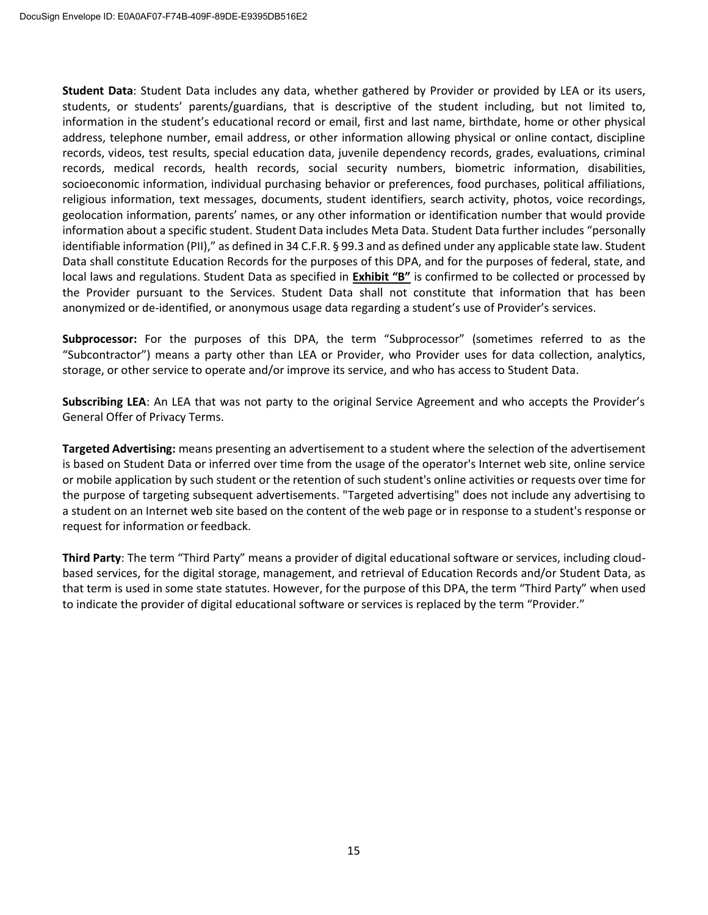**Student Data**: Student Data includes any data, whether gathered by Provider or provided by LEA or its users, students, or students' parents/guardians, that is descriptive of the student including, but not limited to, information in the student's educational record or email, first and last name, birthdate, home or other physical address, telephone number, email address, or other information allowing physical or online contact, discipline records, videos, test results, special education data, juvenile dependency records, grades, evaluations, criminal records, medical records, health records, social security numbers, biometric information, disabilities, socioeconomic information, individual purchasing behavior or preferences, food purchases, political affiliations, religious information, text messages, documents, student identifiers, search activity, photos, voice recordings, geolocation information, parents' names, or any other information or identification number that would provide information about a specific student. Student Data includes Meta Data. Student Data further includes "personally identifiable information (PII)," as defined in 34 C.F.R. § 99.3 and as defined under any applicable state law. Student Data shall constitute Education Records for the purposes of this DPA, and for the purposes of federal, state, and local laws and regulations. Student Data as specified in **Exhibit "B"** is confirmed to be collected or processed by the Provider pursuant to the Services. Student Data shall not constitute that information that has been anonymized or de-identified, or anonymous usage data regarding a student's use of Provider's services.

**Subprocessor:** For the purposes of this DPA, the term "Subprocessor" (sometimes referred to as the "Subcontractor") means a party other than LEA or Provider, who Provider uses for data collection, analytics, storage, or other service to operate and/or improve its service, and who has access to Student Data.

**Subscribing LEA**: An LEA that was not party to the original Service Agreement and who accepts the Provider's General Offer of Privacy Terms.

**Targeted Advertising:** means presenting an advertisement to a student where the selection of the advertisement is based on Student Data or inferred over time from the usage of the operator's Internet web site, online service or mobile application by such student or the retention of such student's online activities or requests over time for the purpose of targeting subsequent advertisements. "Targeted advertising" does not include any advertising to a student on an Internet web site based on the content of the web page or in response to a student's response or request for information or feedback.

**Third Party**: The term "Third Party" means a provider of digital educational software or services, including cloudbased services, for the digital storage, management, and retrieval of Education Records and/or Student Data, as that term is used in some state statutes. However, for the purpose of this DPA, the term "Third Party" when used to indicate the provider of digital educational software or services is replaced by the term "Provider."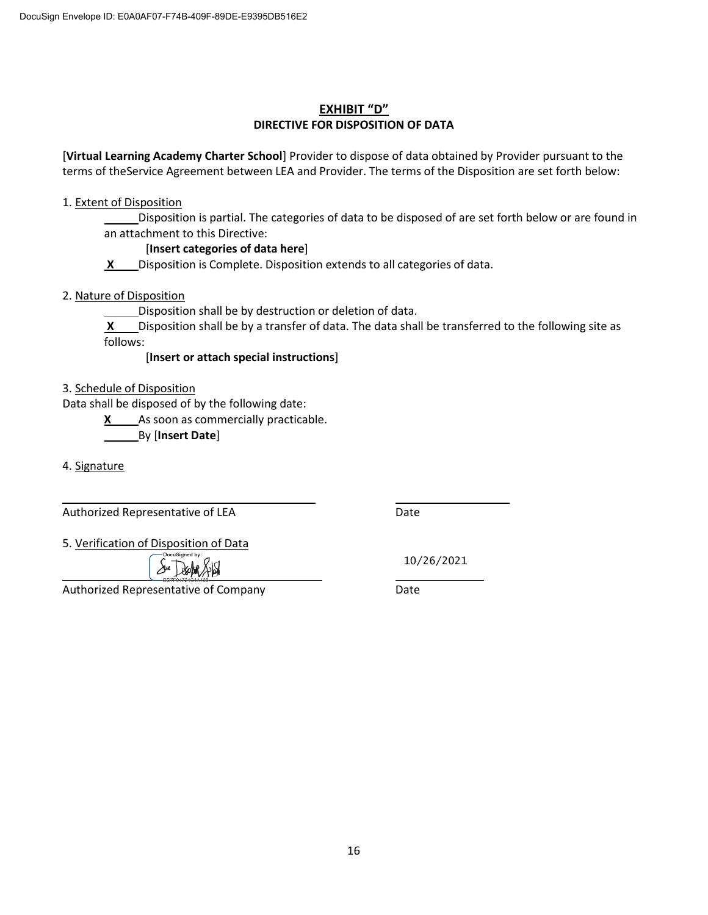#### **EXHIBIT "D" DIRECTIVE FOR DISPOSITION OF DATA**

[**Virtual Learning Academy Charter School**] Provider to dispose of data obtained by Provider pursuant to the terms of theService Agreement between LEA and Provider. The terms of the Disposition are set forth below:

#### 1. Extent of Disposition

Disposition is partial. The categories of data to be disposed of are set forth below or are found in an attachment to this Directive:

#### [**Insert categories of data here**]

**X** Disposition is Complete. Disposition extends to all categories of data.

#### 2. Nature of Disposition

Disposition shall be by destruction or deletion of data.

**X** Disposition shall be by a transfer of data. The data shall be transferred to the following site as follows:

#### [**Insert or attach special instructions**]

3. Schedule of Disposition

Data shall be disposed of by the following date:

**X** As soon as commercially practicable.

By [**Insert Date**]

4. Signature

Authorized Representative of LEA Date

5. Verification of Disposition of Data

Authorized Representative of Company **Date** 

10/26/2021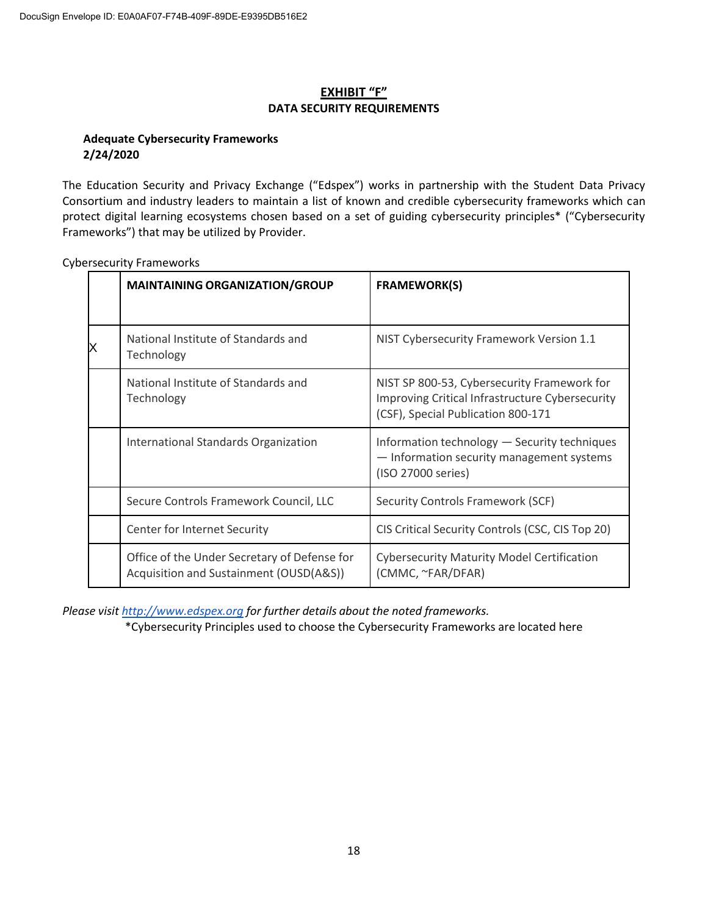#### **EXHIBIT "F" DATA SECURITY REQUIREMENTS**

#### **Adequate Cybersecurity Frameworks 2/24/2020**

The Education Security and Privacy Exchange ("Edspex") works in partnership with the Student Data Privacy Consortium and industry leaders to maintain a list of known and credible cybersecurity frameworks which can protect digital learning ecosystems chosen based on a set of guiding cybersecurity principles\* ("Cybersecurity Frameworks") that may be utilized by Provider.

| <b>MAINTAINING ORGANIZATION/GROUP</b>                                                   | <b>FRAMEWORK(S)</b>                                                                                                                  |
|-----------------------------------------------------------------------------------------|--------------------------------------------------------------------------------------------------------------------------------------|
| National Institute of Standards and<br>Technology                                       | NIST Cybersecurity Framework Version 1.1                                                                                             |
| National Institute of Standards and<br>Technology                                       | NIST SP 800-53, Cybersecurity Framework for<br>Improving Critical Infrastructure Cybersecurity<br>(CSF), Special Publication 800-171 |
| International Standards Organization                                                    | Information technology - Security techniques<br>- Information security management systems<br>(ISO 27000 series)                      |
| Secure Controls Framework Council, LLC                                                  | <b>Security Controls Framework (SCF)</b>                                                                                             |
| Center for Internet Security                                                            | CIS Critical Security Controls (CSC, CIS Top 20)                                                                                     |
| Office of the Under Secretary of Defense for<br>Acquisition and Sustainment (OUSD(A&S)) | <b>Cybersecurity Maturity Model Certification</b><br>(CMMC, ~FAR/DFAR)                                                               |

Cybersecurity Frameworks

*Please visit http://www.edspex.org for further details about the noted frameworks.*

\*Cybersecurity Principles used to choose the Cybersecurity Frameworks are located here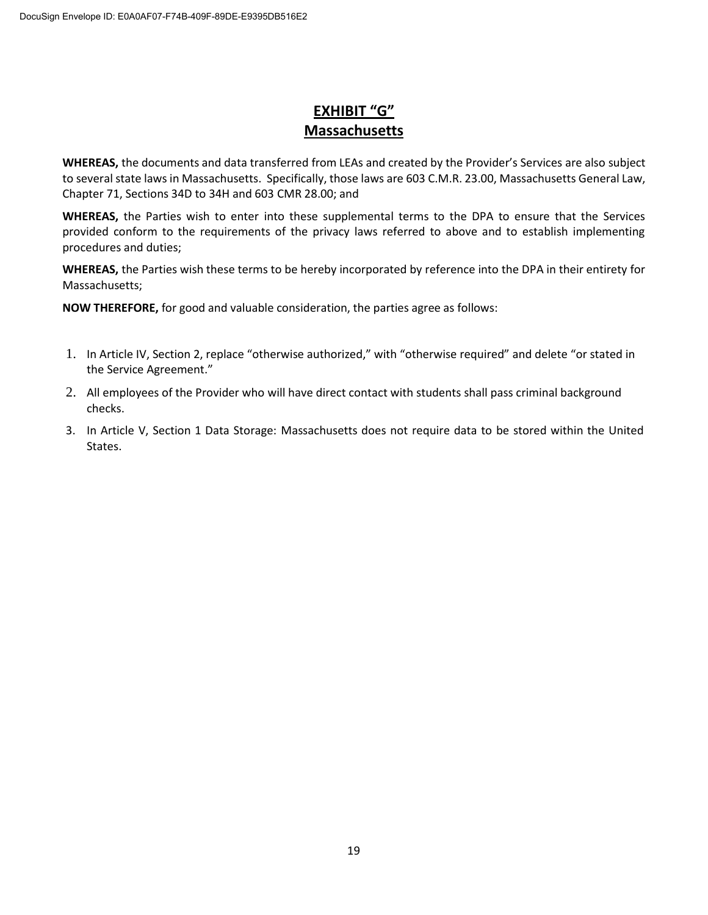### **EXHIBIT "G" Massachusetts**

**WHEREAS,** the documents and data transferred from LEAs and created by the Provider's Services are also subject to several state laws in Massachusetts. Specifically, those laws are 603 C.M.R. 23.00, Massachusetts General Law, Chapter 71, Sections 34D to 34H and 603 CMR 28.00; and

**WHEREAS,** the Parties wish to enter into these supplemental terms to the DPA to ensure that the Services provided conform to the requirements of the privacy laws referred to above and to establish implementing procedures and duties;

**WHEREAS,** the Parties wish these terms to be hereby incorporated by reference into the DPA in their entirety for Massachusetts;

**NOW THEREFORE,** for good and valuable consideration, the parties agree as follows:

- 1. In Article IV, Section 2, replace "otherwise authorized," with "otherwise required" and delete "or stated in the Service Agreement."
- 2. All employees of the Provider who will have direct contact with students shall pass criminal background checks.
- 3. In Article V, Section 1 Data Storage: Massachusetts does not require data to be stored within the United States.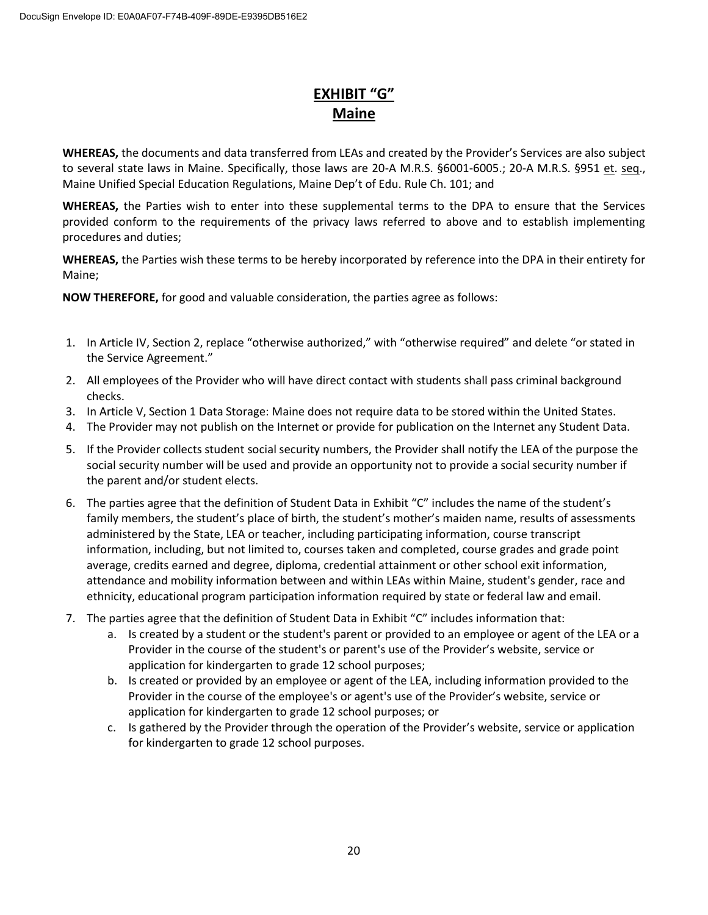## **EXHIBIT "G" Maine**

**WHEREAS,** the documents and data transferred from LEAs and created by the Provider's Services are also subject to several state laws in Maine. Specifically, those laws are 20-A M.R.S. §6001-6005.; 20-A M.R.S. §951 et. seq., Maine Unified Special Education Regulations, Maine Dep't of Edu. Rule Ch. 101; and

**WHEREAS,** the Parties wish to enter into these supplemental terms to the DPA to ensure that the Services provided conform to the requirements of the privacy laws referred to above and to establish implementing procedures and duties;

**WHEREAS,** the Parties wish these terms to be hereby incorporated by reference into the DPA in their entirety for Maine;

**NOW THEREFORE,** for good and valuable consideration, the parties agree as follows:

- 1. In Article IV, Section 2, replace "otherwise authorized," with "otherwise required" and delete "or stated in the Service Agreement."
- 2. All employees of the Provider who will have direct contact with students shall pass criminal background checks.
- 3. In Article V, Section 1 Data Storage: Maine does not require data to be stored within the United States.
- 4. The Provider may not publish on the Internet or provide for publication on the Internet any Student Data.
- 5. If the Provider collects student social security numbers, the Provider shall notify the LEA of the purpose the social security number will be used and provide an opportunity not to provide a social security number if the parent and/or student elects.
- 6. The parties agree that the definition of Student Data in Exhibit "C" includes the name of the student's family members, the student's place of birth, the student's mother's maiden name, results of assessments administered by the State, LEA or teacher, including participating information, course transcript information, including, but not limited to, courses taken and completed, course grades and grade point average, credits earned and degree, diploma, credential attainment or other school exit information, attendance and mobility information between and within LEAs within Maine, student's gender, race and ethnicity, educational program participation information required by state or federal law and email.
- 7. The parties agree that the definition of Student Data in Exhibit "C" includes information that:
	- a. Is created by a student or the student's parent or provided to an employee or agent of the LEA or a Provider in the course of the student's or parent's use of the Provider's website, service or application for kindergarten to grade 12 school purposes;
	- b. Is created or provided by an employee or agent of the LEA, including information provided to the Provider in the course of the employee's or agent's use of the Provider's website, service or application for kindergarten to grade 12 school purposes; or
	- c. Is gathered by the Provider through the operation of the Provider's website, service or application for kindergarten to grade 12 school purposes.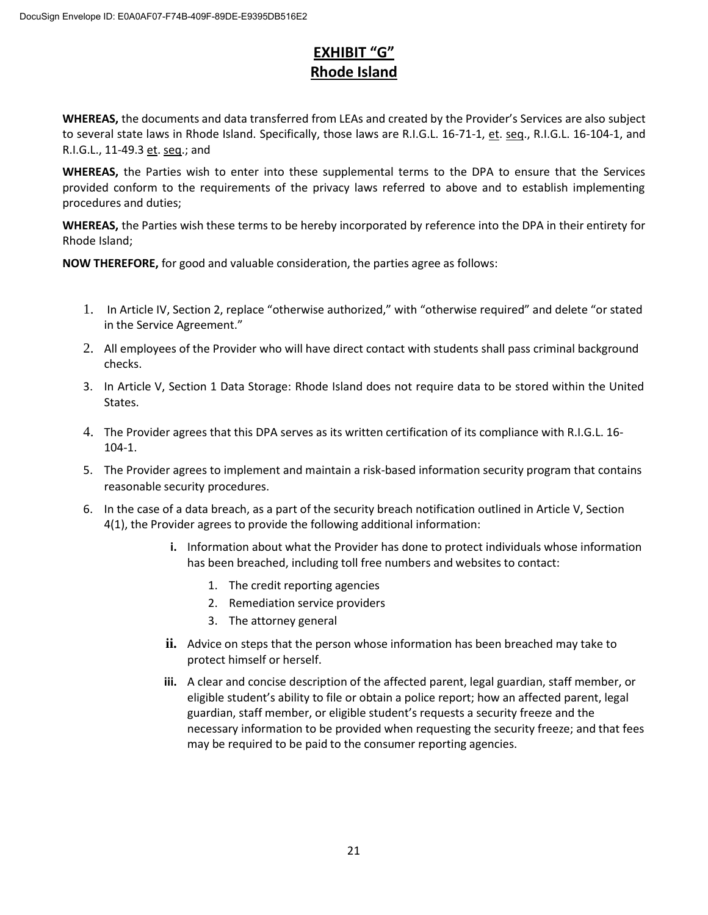## **EXHIBIT "G" Rhode Island**

**WHEREAS,** the documents and data transferred from LEAs and created by the Provider's Services are also subject to several state laws in Rhode Island. Specifically, those laws are R.I.G.L. 16-71-1, et. seq., R.I.G.L. 16-104-1, and R.I.G.L., 11-49.3 et. seq.; and

**WHEREAS,** the Parties wish to enter into these supplemental terms to the DPA to ensure that the Services provided conform to the requirements of the privacy laws referred to above and to establish implementing procedures and duties;

**WHEREAS,** the Parties wish these terms to be hereby incorporated by reference into the DPA in their entirety for Rhode Island;

**NOW THEREFORE,** for good and valuable consideration, the parties agree as follows:

- 1. In Article IV, Section 2, replace "otherwise authorized," with "otherwise required" and delete "or stated in the Service Agreement."
- 2. All employees of the Provider who will have direct contact with students shall pass criminal background checks.
- 3. In Article V, Section 1 Data Storage: Rhode Island does not require data to be stored within the United States.
- 4. The Provider agrees that this DPA serves as its written certification of its compliance with R.I.G.L. 16- 104-1.
- 5. The Provider agrees to implement and maintain a risk-based information security program that contains reasonable security procedures.
- 6. In the case of a data breach, as a part of the security breach notification outlined in Article V, Section 4(1), the Provider agrees to provide the following additional information:
	- **i.** Information about what the Provider has done to protect individuals whose information has been breached, including toll free numbers and websites to contact:
		- 1. The credit reporting agencies
		- 2. Remediation service providers
		- 3. The attorney general
	- **ii.** Advice on steps that the person whose information has been breached may take to protect himself or herself.
	- **iii.** A clear and concise description of the affected parent, legal guardian, staff member, or eligible student's ability to file or obtain a police report; how an affected parent, legal guardian, staff member, or eligible student's requests a security freeze and the necessary information to be provided when requesting the security freeze; and that fees may be required to be paid to the consumer reporting agencies.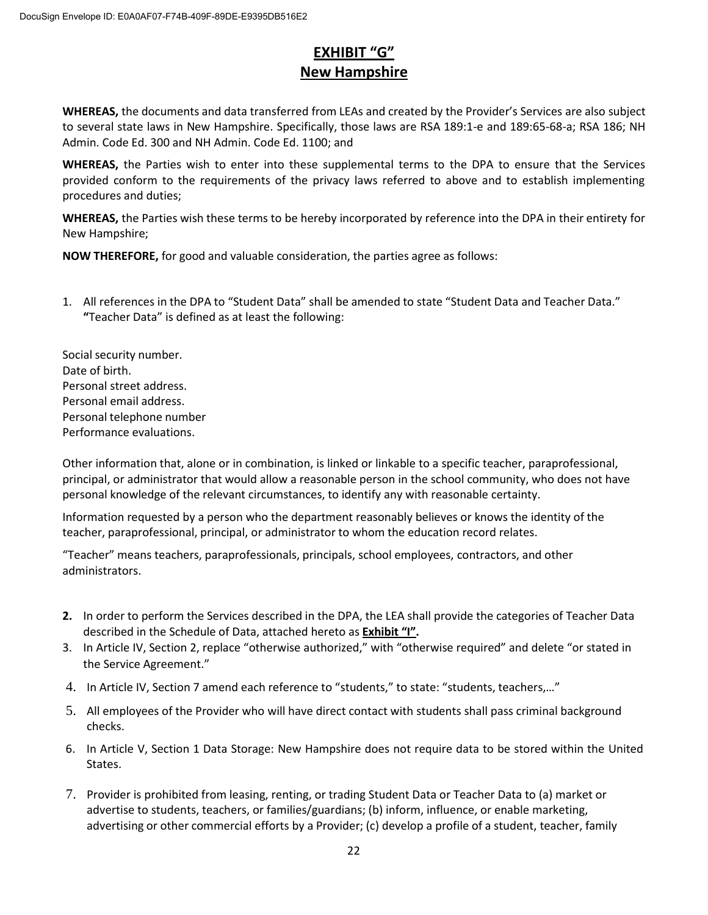## **EXHIBIT "G" New Hampshire**

**WHEREAS,** the documents and data transferred from LEAs and created by the Provider's Services are also subject to several state laws in New Hampshire. Specifically, those laws are RSA 189:1-e and 189:65-68-a; RSA 186; NH Admin. Code Ed. 300 and NH Admin. Code Ed. 1100; and

**WHEREAS,** the Parties wish to enter into these supplemental terms to the DPA to ensure that the Services provided conform to the requirements of the privacy laws referred to above and to establish implementing procedures and duties;

**WHEREAS,** the Parties wish these terms to be hereby incorporated by reference into the DPA in their entirety for New Hampshire;

**NOW THEREFORE,** for good and valuable consideration, the parties agree as follows:

1. All references in the DPA to "Student Data" shall be amended to state "Student Data and Teacher Data." **"**Teacher Data" is defined as at least the following:

Social security number. Date of birth. Personal street address. Personal email address. Personal telephone number Performance evaluations.

Other information that, alone or in combination, is linked or linkable to a specific teacher, paraprofessional, principal, or administrator that would allow a reasonable person in the school community, who does not have personal knowledge of the relevant circumstances, to identify any with reasonable certainty.

Information requested by a person who the department reasonably believes or knows the identity of the teacher, paraprofessional, principal, or administrator to whom the education record relates.

"Teacher" means teachers, paraprofessionals, principals, school employees, contractors, and other administrators.

- **2.** In order to perform the Services described in the DPA, the LEA shall provide the categories of Teacher Data described in the Schedule of Data, attached hereto as **Exhibit "I".**
- 3. In Article IV, Section 2, replace "otherwise authorized," with "otherwise required" and delete "or stated in the Service Agreement."
- 4. In Article IV, Section 7 amend each reference to "students," to state: "students, teachers,…"
- 5. All employees of the Provider who will have direct contact with students shall pass criminal background checks.
- 6. In Article V, Section 1 Data Storage: New Hampshire does not require data to be stored within the United States.
- 7. Provider is prohibited from leasing, renting, or trading Student Data or Teacher Data to (a) market or advertise to students, teachers, or families/guardians; (b) inform, influence, or enable marketing, advertising or other commercial efforts by a Provider; (c) develop a profile of a student, teacher, family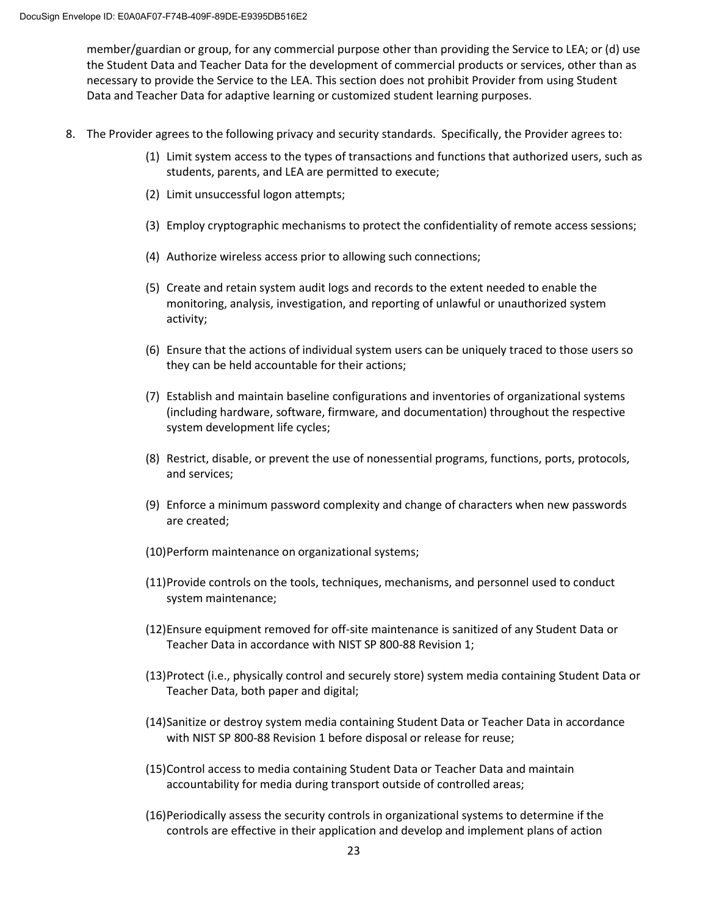member/guardian or group, for any commercial purpose other than providing the Service to LEA; or (d) use the Student Data and Teacher Data for the development of commercial products or services, other than as necessary to provide the Service to the LEA. This section does not prohibit Provider from using Student Data and Teacher Data for adaptive learning or customized student learning purposes.

- 8. The Provider agrees to the following privacy and security standards. Specifically, the Provider agrees to:
	- (1) Limit system access to the types of transactions and functions that authorized users, such as students, parents, and LEA are permitted to execute;
	- (2) Limit unsuccessful logon attempts;
	- (3) Employ cryptographic mechanisms to protect the confidentiality of remote access sessions;
	- (4) Authorize wireless access prior to allowing such connections;
	- (5) Create and retain system audit logs and records to the extent needed to enable the monitoring, analysis, investigation, and reporting of unlawful or unauthorized system activity;
	- (6) Ensure that the actions of individual system users can be uniquely traced to those users so they can be held accountable for their actions;
	- (7) Establish and maintain baseline configurations and inventories of organizational systems (including hardware, software, firmware, and documentation) throughout the respective system development life cycles;
	- (8) Restrict, disable, or prevent the use of nonessential programs, functions, ports, protocols, and services;
	- (9) Enforce a minimum password complexity and change of characters when new passwords are created;
	- (10)Perform maintenance on organizational systems;
	- (11)Provide controls on the tools, techniques, mechanisms, and personnel used to conduct system maintenance;
	- (12)Ensure equipment removed for off-site maintenance is sanitized of any Student Data or Teacher Data in accordance with NIST SP 800-88 Revision 1;
	- (13)Protect (i.e., physically control and securely store) system media containing Student Data or Teacher Data, both paper and digital;
	- (14)Sanitize or destroy system media containing Student Data or Teacher Data in accordance with NIST SP 800-88 Revision 1 before disposal or release for reuse;
	- (15)Control access to media containing Student Data or Teacher Data and maintain accountability for media during transport outside of controlled areas;
	- (16)Periodically assess the security controls in organizational systems to determine if the controls are effective in their application and develop and implement plans of action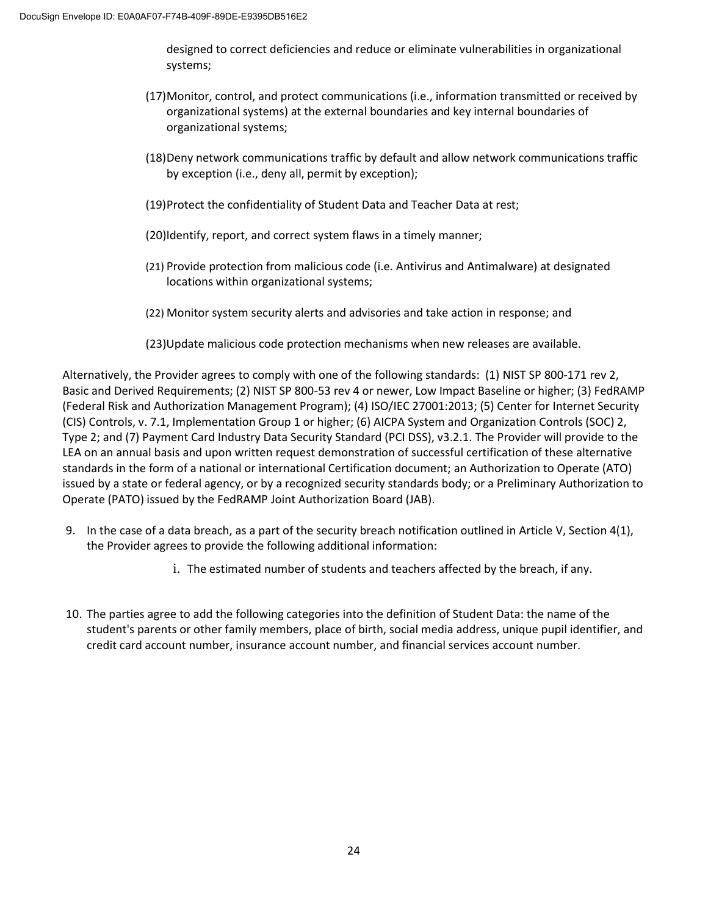designed to correct deficiencies and reduce or eliminate vulnerabilities in organizational systems;

- (17)Monitor, control, and protect communications (i.e., information transmitted or received by organizational systems) at the external boundaries and key internal boundaries of organizational systems;
- (18)Deny network communications traffic by default and allow network communications traffic by exception (i.e., deny all, permit by exception);
- (19)Protect the confidentiality of Student Data and Teacher Data at rest;
- (20)Identify, report, and correct system flaws in a timely manner;
- (21) Provide protection from malicious code (i.e. Antivirus and Antimalware) at designated locations within organizational systems;
- (22) Monitor system security alerts and advisories and take action in response; and
- (23)Update malicious code protection mechanisms when new releases are available.

Alternatively, the Provider agrees to comply with one of the following standards: (1) NIST SP 800-171 rev 2, Basic and Derived Requirements; (2) NIST SP 800-53 rev 4 or newer, Low Impact Baseline or higher; (3) FedRAMP (Federal Risk and Authorization Management Program); (4) ISO/IEC 27001:2013; (5) Center for Internet Security (CIS) Controls, v. 7.1, Implementation Group 1 or higher; (6) AICPA System and Organization Controls (SOC) 2, Type 2; and (7) Payment Card Industry Data Security Standard (PCI DSS), v3.2.1. The Provider will provide to the LEA on an annual basis and upon written request demonstration of successful certification of these alternative standards in the form of a national or international Certification document; an Authorization to Operate (ATO) issued by a state or federal agency, or by a recognized security standards body; or a Preliminary Authorization to Operate (PATO) issued by the FedRAMP Joint Authorization Board (JAB).

- 9. In the case of a data breach, as a part of the security breach notification outlined in Article V, Section 4(1), the Provider agrees to provide the following additional information:
	- i. The estimated number of students and teachers affected by the breach, if any.
- 10. The parties agree to add the following categories into the definition of Student Data: the name of the student's parents or other family members, place of birth, social media address, unique pupil identifier, and credit card account number, insurance account number, and financial services account number.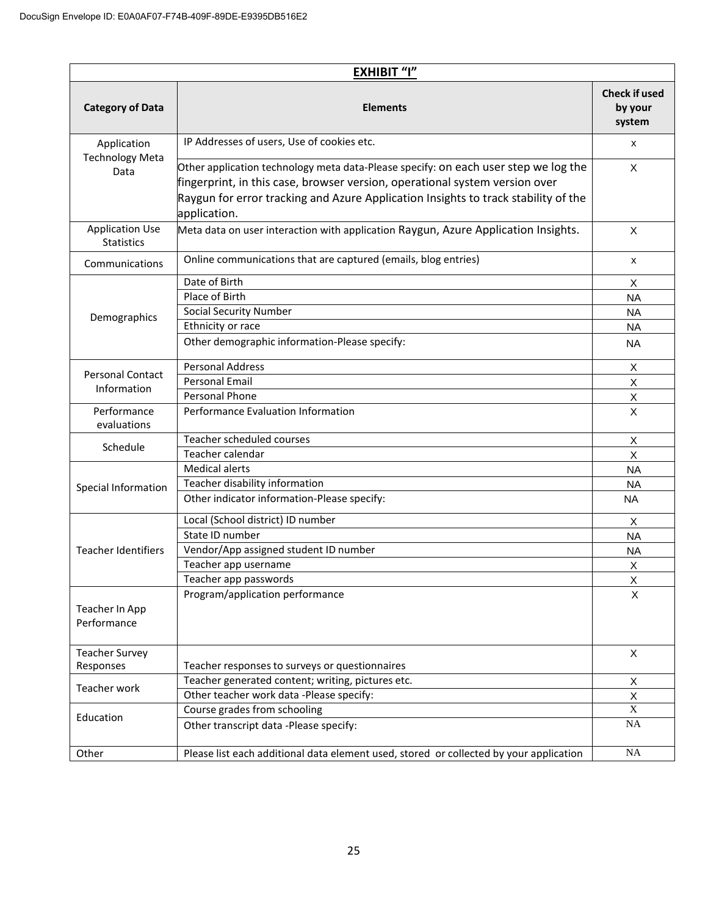| <b>EXHIBIT "I"</b>                            |                                                                                                                                                                                                                                                                          |                                           |
|-----------------------------------------------|--------------------------------------------------------------------------------------------------------------------------------------------------------------------------------------------------------------------------------------------------------------------------|-------------------------------------------|
| <b>Category of Data</b>                       | <b>Elements</b>                                                                                                                                                                                                                                                          | <b>Check if used</b><br>by your<br>system |
| Application<br><b>Technology Meta</b><br>Data | IP Addresses of users, Use of cookies etc.                                                                                                                                                                                                                               | х                                         |
|                                               | Other application technology meta data-Please specify: on each user step we log the<br>fingerprint, in this case, browser version, operational system version over<br>Raygun for error tracking and Azure Application Insights to track stability of the<br>application. | X                                         |
| <b>Application Use</b><br><b>Statistics</b>   | Meta data on user interaction with application Raygun, Azure Application Insights.                                                                                                                                                                                       | X                                         |
| Communications                                | Online communications that are captured (emails, blog entries)                                                                                                                                                                                                           | x                                         |
|                                               | Date of Birth                                                                                                                                                                                                                                                            | X                                         |
|                                               | Place of Birth                                                                                                                                                                                                                                                           | <b>NA</b>                                 |
| Demographics                                  | <b>Social Security Number</b>                                                                                                                                                                                                                                            | <b>NA</b>                                 |
|                                               | Ethnicity or race                                                                                                                                                                                                                                                        | <b>NA</b>                                 |
|                                               | Other demographic information-Please specify:                                                                                                                                                                                                                            | <b>NA</b>                                 |
|                                               | <b>Personal Address</b>                                                                                                                                                                                                                                                  | X                                         |
| <b>Personal Contact</b>                       | <b>Personal Email</b>                                                                                                                                                                                                                                                    | $\mathsf{X}$                              |
| Information                                   | Personal Phone                                                                                                                                                                                                                                                           | X                                         |
| Performance<br>evaluations                    | Performance Evaluation Information                                                                                                                                                                                                                                       | X                                         |
|                                               | Teacher scheduled courses                                                                                                                                                                                                                                                | Χ                                         |
| Schedule                                      | Teacher calendar                                                                                                                                                                                                                                                         | X                                         |
|                                               | <b>Medical alerts</b>                                                                                                                                                                                                                                                    | <b>NA</b>                                 |
| Special Information                           | Teacher disability information                                                                                                                                                                                                                                           | <b>NA</b>                                 |
|                                               | Other indicator information-Please specify:                                                                                                                                                                                                                              | <b>NA</b>                                 |
|                                               | Local (School district) ID number                                                                                                                                                                                                                                        | X                                         |
|                                               | State ID number                                                                                                                                                                                                                                                          | ΝA                                        |
| <b>Teacher Identifiers</b>                    | Vendor/App assigned student ID number                                                                                                                                                                                                                                    | <b>NA</b>                                 |
|                                               | Teacher app username                                                                                                                                                                                                                                                     | Х                                         |
|                                               | Teacher app passwords                                                                                                                                                                                                                                                    | Χ                                         |
| Teacher In App<br>Performance                 | Program/application performance                                                                                                                                                                                                                                          | X                                         |
| <b>Teacher Survey</b>                         |                                                                                                                                                                                                                                                                          | $\times$                                  |
| Responses                                     | Teacher responses to surveys or questionnaires                                                                                                                                                                                                                           |                                           |
| Teacher work                                  | Teacher generated content; writing, pictures etc.                                                                                                                                                                                                                        | X                                         |
|                                               | Other teacher work data -Please specify:                                                                                                                                                                                                                                 | $\mathsf X$                               |
|                                               | Course grades from schooling                                                                                                                                                                                                                                             | $\overline{X}$                            |
| Education                                     | Other transcript data -Please specify:                                                                                                                                                                                                                                   | NA                                        |
| Other                                         | Please list each additional data element used, stored or collected by your application                                                                                                                                                                                   | $\rm NA$                                  |